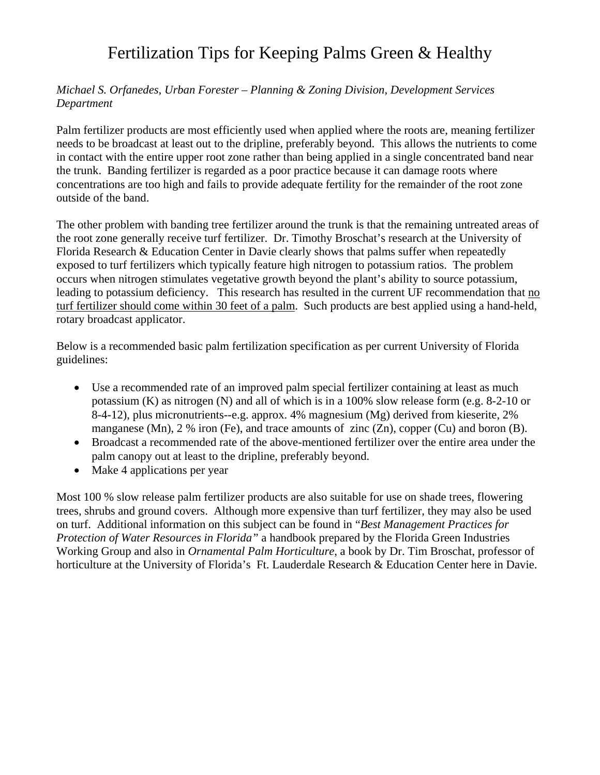## Fertilization Tips for Keeping Palms Green & Healthy

## *Michael S. Orfanedes, Urban Forester – Planning & Zoning Division, Development Services Department*

Palm fertilizer products are most efficiently used when applied where the roots are, meaning fertilizer needs to be broadcast at least out to the dripline, preferably beyond. This allows the nutrients to come in contact with the entire upper root zone rather than being applied in a single concentrated band near the trunk. Banding fertilizer is regarded as a poor practice because it can damage roots where concentrations are too high and fails to provide adequate fertility for the remainder of the root zone outside of the band.

The other problem with banding tree fertilizer around the trunk is that the remaining untreated areas of the root zone generally receive turf fertilizer. Dr. Timothy Broschat's research at the University of Florida Research & Education Center in Davie clearly shows that palms suffer when repeatedly exposed to turf fertilizers which typically feature high nitrogen to potassium ratios. The problem occurs when nitrogen stimulates vegetative growth beyond the plant's ability to source potassium, leading to potassium deficiency. This research has resulted in the current UF recommendation that no turf fertilizer should come within 30 feet of a palm. Such products are best applied using a hand-held, rotary broadcast applicator.

Below is a recommended basic palm fertilization specification as per current University of Florida guidelines:

- Use a recommended rate of an improved palm special fertilizer containing at least as much potassium (K) as nitrogen (N) and all of which is in a 100% slow release form (e.g. 8-2-10 or 8-4-12), plus micronutrients--e.g. approx. 4% magnesium (Mg) derived from kieserite, 2% manganese (Mn),  $2\%$  iron (Fe), and trace amounts of zinc (Zn), copper (Cu) and boron (B).
- Broadcast a recommended rate of the above-mentioned fertilizer over the entire area under the palm canopy out at least to the dripline, preferably beyond.
- Make 4 applications per year

Most 100 % slow release palm fertilizer products are also suitable for use on shade trees, flowering trees, shrubs and ground covers. Although more expensive than turf fertilizer, they may also be used on turf. Additional information on this subject can be found in "*Best Management Practices for Protection of Water Resources in Florida"* a handbook prepared by the Florida Green Industries Working Group and also in *Ornamental Palm Horticulture*, a book by Dr. Tim Broschat, professor of horticulture at the University of Florida's Ft. Lauderdale Research & Education Center here in Davie.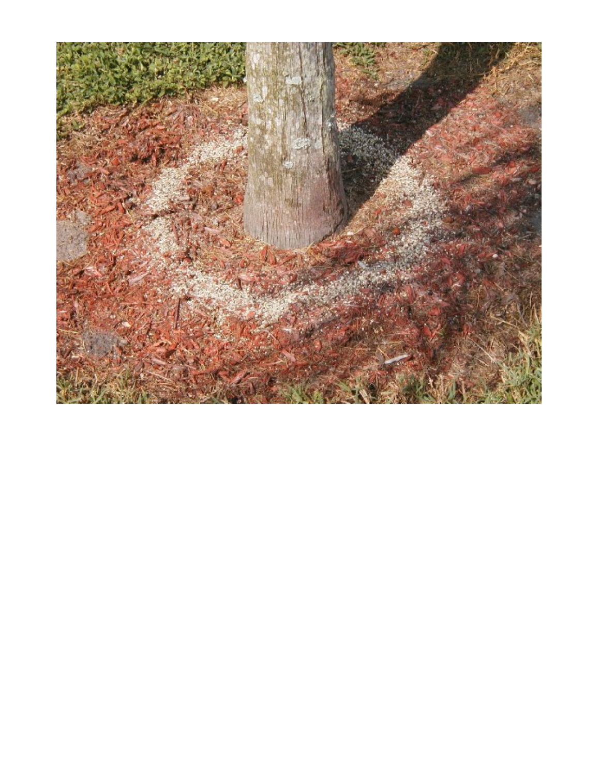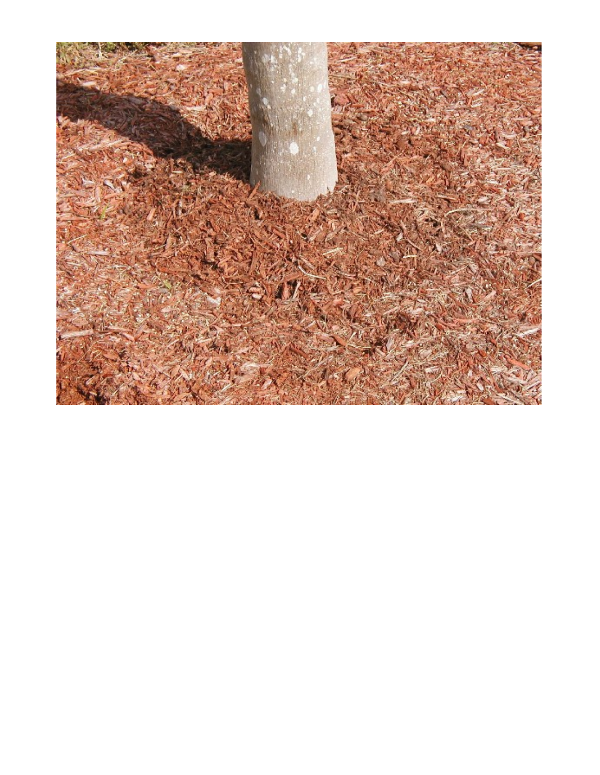